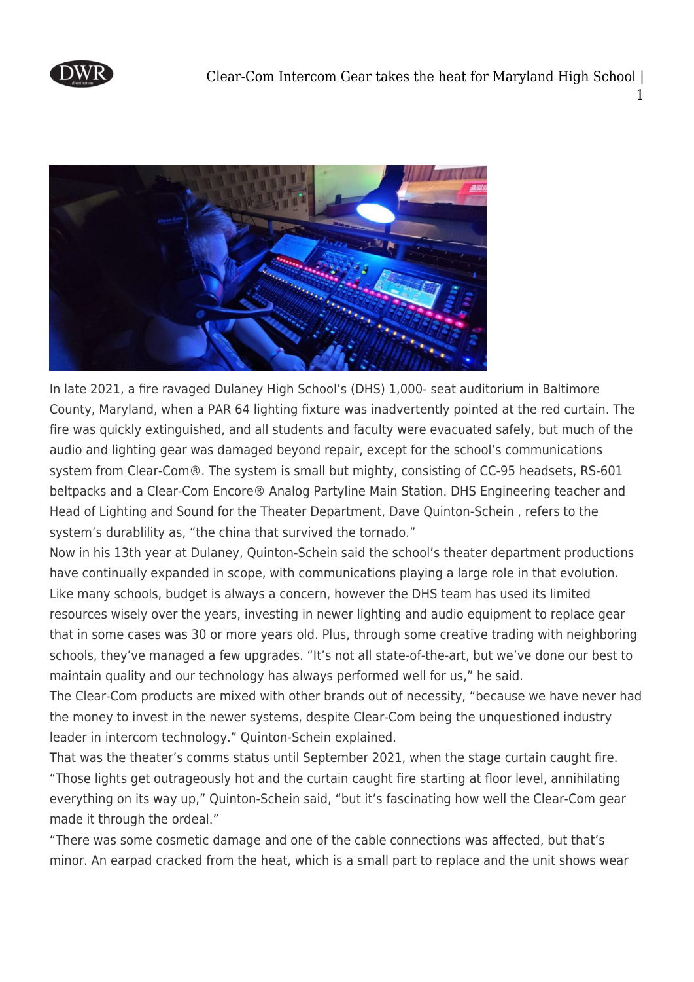



In late 2021, a fire ravaged Dulaney High School's (DHS) 1,000- seat auditorium in Baltimore County, Maryland, when a PAR 64 lighting fixture was inadvertently pointed at the red curtain. The fire was quickly extinguished, and all students and faculty were evacuated safely, but much of the audio and lighting gear was damaged beyond repair, except for the school's communications system from Clear-Com®. The system is small but mighty, consisting of CC-95 headsets, RS-601 beltpacks and a Clear-Com Encore® Analog Partyline Main Station. DHS Engineering teacher and Head of Lighting and Sound for the Theater Department, Dave Quinton-Schein , refers to the system's durablility as, "the china that survived the tornado."

Now in his 13th year at Dulaney, Quinton-Schein said the school's theater department productions have continually expanded in scope, with communications playing a large role in that evolution. Like many schools, budget is always a concern, however the DHS team has used its limited resources wisely over the years, investing in newer lighting and audio equipment to replace gear that in some cases was 30 or more years old. Plus, through some creative trading with neighboring schools, they've managed a few upgrades. "It's not all state-of-the-art, but we've done our best to maintain quality and our technology has always performed well for us," he said.

The Clear-Com products are mixed with other brands out of necessity, "because we have never had the money to invest in the newer systems, despite Clear-Com being the unquestioned industry leader in intercom technology." Quinton-Schein explained.

That was the theater's comms status until September 2021, when the stage curtain caught fire. "Those lights get outrageously hot and the curtain caught fire starting at floor level, annihilating everything on its way up," Quinton-Schein said, "but it's fascinating how well the Clear-Com gear made it through the ordeal."

"There was some cosmetic damage and one of the cable connections was affected, but that's minor. An earpad cracked from the heat, which is a small part to replace and the unit shows wear